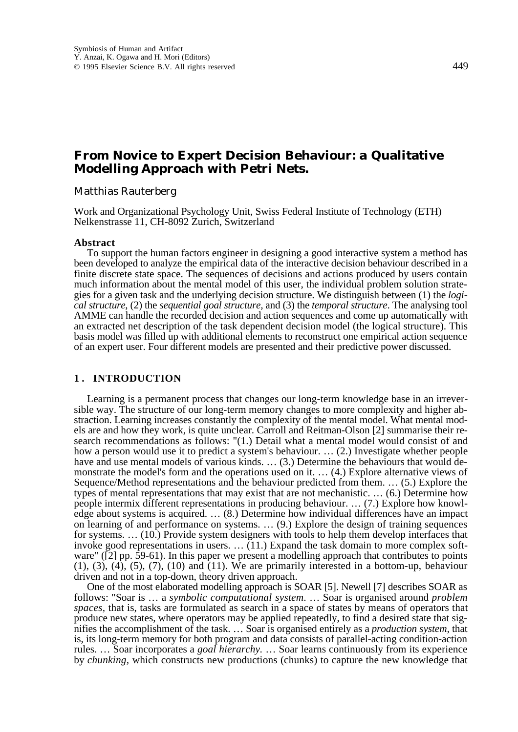# **From Novice to Expert Decision Behaviour: a Qualitative Modelling Approach with Petri Nets.**

## Matthias Rauterberg

Work and Organizational Psychology Unit, Swiss Federal Institute of Technology (ETH) Nelkenstrasse 11, CH-8092 Zurich, Switzerland

#### **Abstract**

To support the human factors engineer in designing a good interactive system a method has been developed to analyze the empirical data of the interactive decision behaviour described in a finite discrete state space. The sequences of decisions and actions produced by users contain much information about the mental model of this user, the individual problem solution strategies for a given task and the underlying decision structure. We distinguish between (1) the *logical structure*, (2) the *sequential goal structure,* and (3) the *temporal structure*. The analysing tool AMME can handle the recorded decision and action sequences and come up automatically with an extracted net description of the task dependent decision model (the logical structure). This basis model was filled up with additional elements to reconstruct one empirical action sequence of an expert user. Four different models are presented and their predictive power discussed.

## **1 . INTRODUCTION**

Learning is a permanent process that changes our long-term knowledge base in an irreversible way. The structure of our long-term memory changes to more complexity and higher abstraction. Learning increases constantly the complexity of the mental model. What mental models are and how they work, is quite unclear. Carroll and Reitman-Olson [2] summarise their research recommendations as follows: "(1.) Detail what a mental model would consist of and how a person would use it to predict a system's behaviour. … (2.) Investigate whether people have and use mental models of various kinds. ... (3.) Determine the behaviours that would demonstrate the model's form and the operations used on it. … (4.) Explore alternative views of Sequence/Method representations and the behaviour predicted from them. … (5.) Explore the types of mental representations that may exist that are not mechanistic. … (6.) Determine how people intermix different representations in producing behaviour. … (7.) Explore how knowledge about systems is acquired. … (8.) Determine how individual differences have an impact on learning of and performance on systems. … (9.) Explore the design of training sequences for systems. … (10.) Provide system designers with tools to help them develop interfaces that invoke good representations in users. … (11.) Expand the task domain to more complex software" ([2] pp. 59-61). In this paper we present a modelling approach that contributes to points  $(1)$ ,  $(3)$ ,  $(4)$ ,  $(5)$ ,  $(7)$ ,  $(10)$  and  $(11)$ . We are primarily interested in a bottom-up, behaviour driven and not in a top-down, theory driven approach.

One of the most elaborated modelling approach is SOAR [5]. Newell [7] describes SOAR as follows: "Soar is … a *symbolic computational system*. … Soar is organised around *problem spaces,* that is, tasks are formulated as search in a space of states by means of operators that produce new states, where operators may be applied repeatedly, to find a desired state that signifies the accomplishment of the task. … Soar is organised entirely as a *production system,* that is, its long-term memory for both program and data consists of parallel-acting condition-action rules. … Soar incorporates a *goal hierarchy.* … Soar learns continuously from its experience by *chunking,* which constructs new productions (chunks) to capture the new knowledge that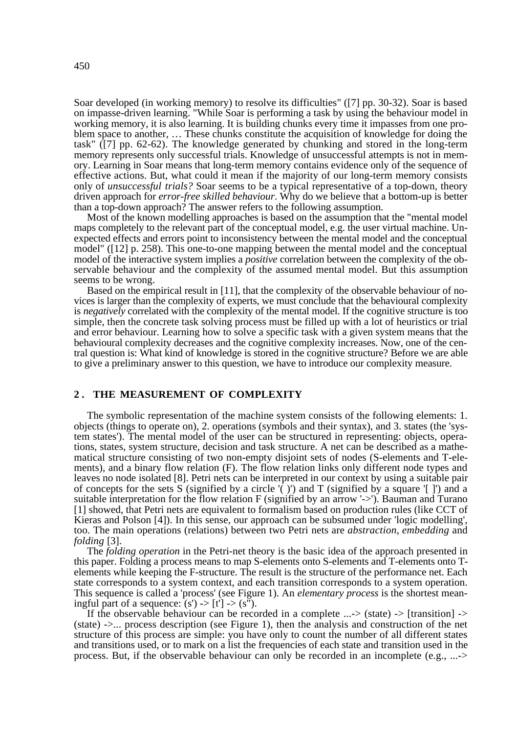Soar developed (in working memory) to resolve its difficulties" ([7] pp. 30-32). Soar is based on impasse-driven learning. "While Soar is performing a task by using the behaviour model in working memory, it is also learning. It is building chunks every time it impasses from one problem space to another, … These chunks constitute the acquisition of knowledge for doing the task" ([7] pp. 62-62). The knowledge generated by chunking and stored in the long-term memory represents only successful trials. Knowledge of unsuccessful attempts is not in memory. Learning in Soar means that long-term memory contains evidence only of the sequence of effective actions. But, what could it mean if the majority of our long-term memory consists only of *unsuccessful trials?* Soar seems to be a typical representative of a top-down, theory driven approach for *error-free skilled behaviour*. Why do we believe that a bottom-up is better than a top-down approach? The answer refers to the following assumption.

Most of the known modelling approaches is based on the assumption that the "mental model maps completely to the relevant part of the conceptual model, e.g. the user virtual machine. Unexpected effects and errors point to inconsistency between the mental model and the conceptual model" ([12] p. 258). This one-to-one mapping between the mental model and the conceptual model of the interactive system implies a *positive* correlation between the complexity of the observable behaviour and the complexity of the assumed mental model. But this assumption seems to be wrong.

Based on the empirical result in [11], that the complexity of the observable behaviour of novices is larger than the complexity of experts, we must conclude that the behavioural complexity is *negatively* correlated with the complexity of the mental model. If the cognitive structure is too simple, then the concrete task solving process must be filled up with a lot of heuristics or trial and error behaviour. Learning how to solve a specific task with a given system means that the behavioural complexity decreases and the cognitive complexity increases. Now, one of the central question is: What kind of knowledge is stored in the cognitive structure? Before we are able to give a preliminary answer to this question, we have to introduce our complexity measure.

## **2 . THE MEASUREMENT OF COMPLEXITY**

The symbolic representation of the machine system consists of the following elements: 1. objects (things to operate on), 2. operations (symbols and their syntax), and 3. states (the 'system states'). The mental model of the user can be structured in representing: objects, operations, states, system structure, decision and task structure. A net can be described as a mathematical structure consisting of two non-empty disjoint sets of nodes (S-elements and T-elements), and a binary flow relation (F). The flow relation links only different node types and leaves no node isolated [8]. Petri nets can be interpreted in our context by using a suitable pair of concepts for the sets S (signified by a circle  $(\bar{ } )$ ) and T (signified by a square  $[ ]$ ) and a suitable interpretation for the flow relation  $F$  (signified by an arrow ' $\ge$ ). Bauman and Turano [1] showed, that Petri nets are equivalent to formalism based on production rules (like CCT of Kieras and Polson [4]). In this sense, our approach can be subsumed under 'logic modelling', too. The main operations (relations) between two Petri nets are *abstraction*, *embedding* and *folding* [3].

The *folding operation* in the Petri-net theory is the basic idea of the approach presented in this paper. Folding a process means to map S-elements onto S-elements and T-elements onto Telements while keeping the F-structure. The result is the structure of the performance net. Each state corresponds to a system context, and each transition corresponds to a system operation. This sequence is called a 'process' (see Figure 1). An *elementary process* is the shortest meaningful part of a sequence:  $(s')$  ->  $[t']$  ->  $(s'')$ .

If the observable behaviour can be recorded in a complete  $\ldots$  > (state) -> [transition] -> (state) ->... process description (see Figure 1), then the analysis and construction of the net structure of this process are simple: you have only to count the number of all different states and transitions used, or to mark on a list the frequencies of each state and transition used in the process. But, if the observable behaviour can only be recorded in an incomplete (e.g., ...->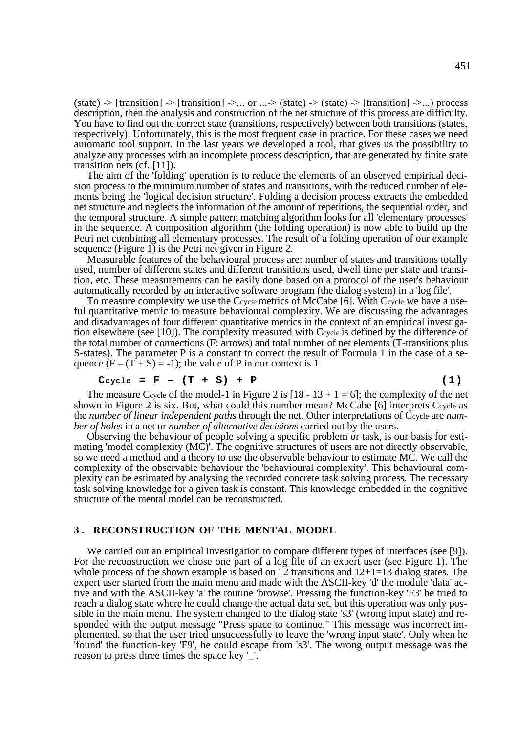(state)  $\rightarrow$  [transition]  $\rightarrow$  [transition]  $\rightarrow$ ... or ... $\rightarrow$  (state)  $\rightarrow$  [transition]  $\rightarrow$ ...) process description, then the analysis and construction of the net structure of this process are difficulty. You have to find out the correct state (transitions, respectively) between both transitions (states, respectively). Unfortunately, this is the most frequent case in practice. For these cases we need automatic tool support. In the last years we developed a tool, that gives us the possibility to analyze any processes with an incomplete process description, that are generated by finite state transition nets (cf. [11]).

The aim of the 'folding' operation is to reduce the elements of an observed empirical decision process to the minimum number of states and transitions, with the reduced number of elements being the 'logical decision structure'. Folding a decision process extracts the embedded net structure and neglects the information of the amount of repetitions, the sequential order, and the temporal structure. A simple pattern matching algorithm looks for all 'elementary processes' in the sequence. A composition algorithm (the folding operation) is now able to build up the Petri net combining all elementary processes. The result of a folding operation of our example sequence (Figure 1) is the Petri net given in Figure 2.

Measurable features of the behavioural process are: number of states and transitions totally used, number of different states and different transitions used, dwell time per state and transition, etc. These measurements can be easily done based on a protocol of the user's behaviour automatically recorded by an interactive software program (the dialog system) in a 'log file'.

To measure complexity we use the Ccycle metrics of McCabe [6]. With Ccycle we have a useful quantitative metric to measure behavioural complexity. We are discussing the advantages and disadvantages of four different quantitative metrics in the context of an empirical investigation elsewhere (see [10]). The complexity measured with Covel is defined by the difference of the total number of connections (F: arrows) and total number of net elements (T-transitions plus S-states). The parameter P is a constant to correct the result of Formula 1 in the case of a sequence  $(F - (T + S) = -1)$ ; the value of P in our context is 1.

 $C<sub>cyclic</sub> = F - (T + S) + P$  (1)

The measure Ccycle of the model-1 in Figure 2 is  $[18 - 13 + 1 = 6]$ ; the complexity of the net shown in Figure 2 is six. But, what could this number mean? McCabe [6] interprets Ccycle as the *number of linear independent paths* through the net. Other interpretations of Ccycle are *number of holes* in a net or *number of alternative decisions* carried out by the users.

Observing the behaviour of people solving a specific problem or task, is our basis for estimating 'model complexity (MC)'. The cognitive structures of users are not directly observable, so we need a method and a theory to use the observable behaviour to estimate MC. We call the complexity of the observable behaviour the 'behavioural complexity'. This behavioural complexity can be estimated by analysing the recorded concrete task solving process. The necessary task solving knowledge for a given task is constant. This knowledge embedded in the cognitive structure of the mental model can be reconstructed.

#### **3 . RECONSTRUCTION OF THE MENTAL MODEL**

We carried out an empirical investigation to compare different types of interfaces (see [9]). For the reconstruction we chose one part of a log file of an expert user (see Figure 1). The whole process of the shown example is based on 12 transitions and  $12+1=13$  dialog states. The expert user started from the main menu and made with the ASCII-key 'd' the module 'data' active and with the ASCII-key 'a' the routine 'browse'. Pressing the function-key 'F3' he tried to reach a dialog state where he could change the actual data set, but this operation was only possible in the main menu. The system changed to the dialog state 's3' (wrong input state) and responded with the output message "Press space to continue." This message was incorrect implemented, so that the user tried unsuccessfully to leave the 'wrong input state'. Only when he 'found' the function-key 'F9', he could escape from 's3'. The wrong output message was the reason to press three times the space key '\_'.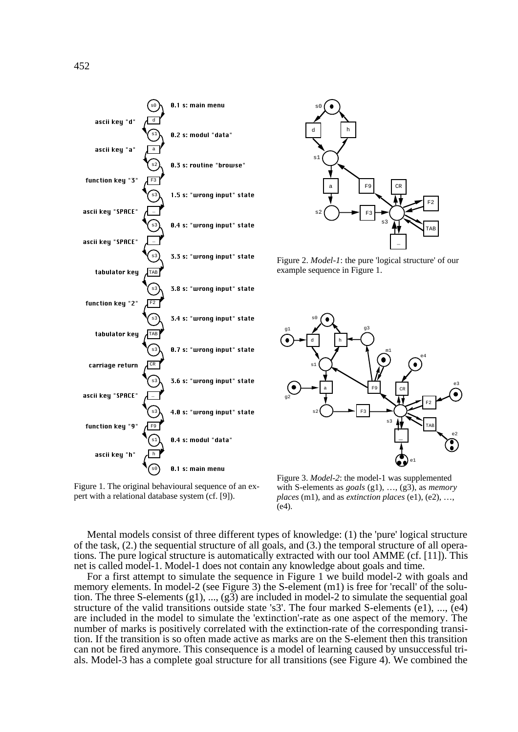



Figure 2. *Model-1*: the pure 'logical structure' of our example sequence in Figure 1.



Figure 1. The original behavioural sequence of an expert with a relational database system (cf. [9]).

Figure 3. *Model-2*: the model-1 was supplemented with S-elements as *goals* (g1), …, (g3), as *memory places* (m1), and as *extinction places* (e1), (e2), …, (e4).

Mental models consist of three different types of knowledge: (1) the 'pure' logical structure of the task, (2.) the sequential structure of all goals, and (3.) the temporal structure of all operations. The pure logical structure is automatically extracted with our tool AMME (cf. [11]). This net is called model-1. Model-1 does not contain any knowledge about goals and time.

For a first attempt to simulate the sequence in Figure 1 we build model-2 with goals and memory elements. In model-2 (see Figure 3) the S-element (m1) is free for 'recall' of the solution. The three S-elements (g1), ..., (g3) are included in model-2 to simulate the sequential goal structure of the valid transitions outside state 's3'. The four marked S-elements (e1), ..., (e4) are included in the model to simulate the 'extinction'-rate as one aspect of the memory. The number of marks is positively correlated with the extinction-rate of the corresponding transition. If the transition is so often made active as marks are on the S-element then this transition can not be fired anymore. This consequence is a model of learning caused by unsuccessful trials. Model-3 has a complete goal structure for all transitions (see Figure 4). We combined the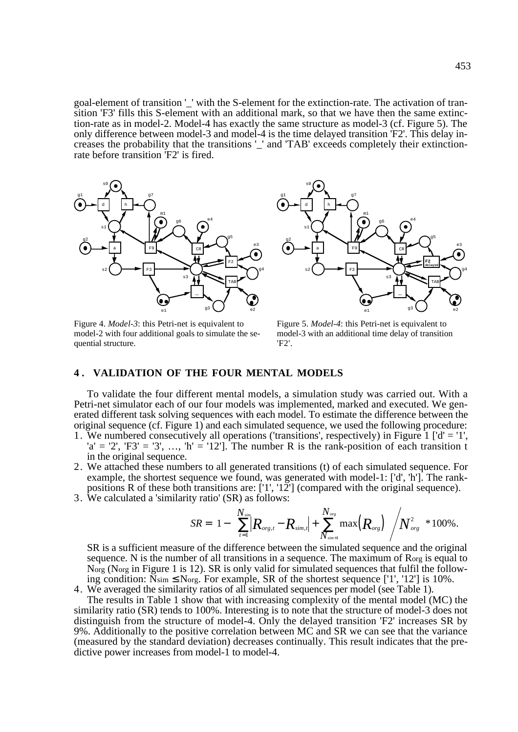goal-element of transition '\_' with the S-element for the extinction-rate. The activation of transition 'F3' fills this S-element with an additional mark, so that we have then the same extinction-rate as in model-2. Model-4 has exactly the same structure as model-3 (cf. Figure 5). The only difference between model-3 and model-4 is the time delayed transition 'F2'. This delay increases the probability that the transitions '\_' and 'TAB' exceeds completely their extinctionrate before transition 'F2' is fired.



**F2 delayed** s0 d h s1 a s2 s3 F3 F9 TAB CR g6  $e^4$ e3 e1  $^{g_3}$  e2 **\_** g1 g2 m1 g5 g4 g3 g7

Figure 4. *Model-3*: this Petri-net is equivalent to model-2 with four additional goals to simulate the sequential structure.

Figure 5. *Model-4*: this Petri-net is equivalent to model-3 with an additional time delay of transition 'F2'.

#### **4 . VALIDATION OF THE FOUR MENTAL MODELS**

To validate the four different mental models, a simulation study was carried out. With a Petri-net simulator each of our four models was implemented, marked and executed. We generated different task solving sequences with each model. To estimate the difference between the original sequence (cf. Figure 1) and each simulated sequence, we used the following procedure:

- 1. We numbered consecutively all operations ('transitions', respectively) in Figure 1 ['d' = '1',  $a' = '2'$ ,  $F3' = '3'$ , ..., 'h' = '12']. The number R is the rank-position of each transition t in the original sequence.
- 2. We attached these numbers to all generated transitions (t) of each simulated sequence. For example, the shortest sequence we found, was generated with model-1: ['d', 'h']. The rankpositions R of these both transitions are: ['1', '12'] (compared with the original sequence).
- 3. We calculated a 'similarity ratio' (SR) as follows:

$$
SR = \left[1 - \left\{\sum_{t=1}^{N_{sim}} |R_{org,t} - R_{sim,t}| + \sum_{N_{sim+1}}^{N_{org}} \max(R_{org})\right\} / N_{org}^2\right] * 100\%.
$$

SR is a sufficient measure of the difference between the simulated sequence and the original sequence. N is the number of all transitions in a sequence. The maximum of Rorg is equal to Norg (Norg in Figure 1 is 12). SR is only valid for simulated sequences that fulfil the following condition:  $\bar{N}_{sim} \leq N_{org}$ . For example, SR of the shortest sequence ['1', '12'] is 10%. 4. We averaged the similarity ratios of all simulated sequences per model (see Table 1).

The results in Table 1 show that with increasing complexity of the mental model (MC) the similarity ratio (SR) tends to 100%. Interesting is to note that the structure of model-3 does not distinguish from the structure of model-4. Only the delayed transition 'F2' increases SR by 9%. Additionally to the positive correlation between MC and SR we can see that the variance (measured by the standard deviation) decreases continually. This result indicates that the predictive power increases from model-1 to model-4.